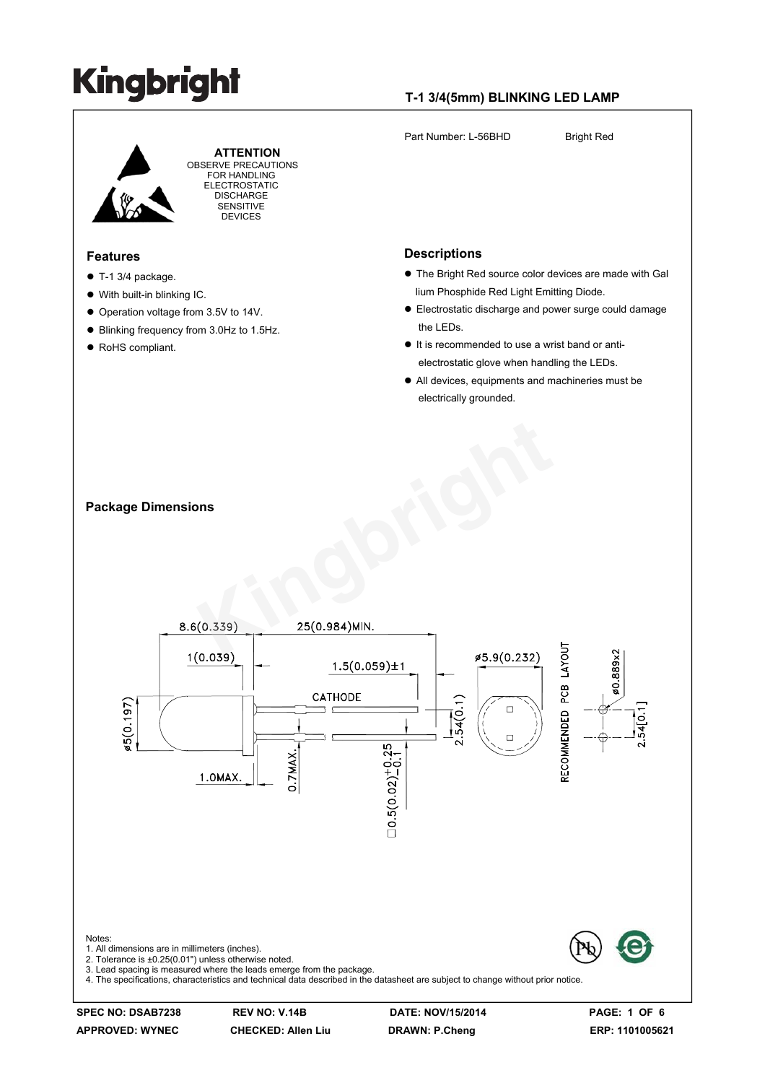#### **T-1 3/4(5mm) BLINKING LED LAMP**

Part Number: L-56BHD Bright Red **ATTENTION** OBSERVE PRECAUTIONS FOR HANDLING ELECTROSTATIC **DISCHARGE** SENSITIVE DEVICES **Descriptions Features**  The Bright Red source color devices are made with Gal  $\bullet$  T-1 3/4 package. lium Phosphide Red Light Emitting Diode. With built-in blinking IC. Electrostatic discharge and power surge could damage Operation voltage from 3.5V to 14V. the LEDs. Blinking frequency from 3.0Hz to 1.5Hz. ● RoHS compliant. It is recommended to use a wrist band or anti electrostatic glove when handling the LEDs. All devices, equipments and machineries must be electrically grounded. **CONSTRUCTION Package Dimensions** RECOMMENDED PCB LAYOUT \$0.889×2  $1.5(0.059) \pm 1$ CATHODE  $\frac{1}{54(0.1)}$ \$5(0.197)  $54[0.1]$  $\Box$  $= 0.5(0.02) + 0.25$ 0.7MAX. 1.0MAX. Notes: 1. All dimensions are in millimeters (inches). 2. Tolerance is ±0.25(0.01") unless otherwise noted. 3. Lead spacing is measured where the leads emerge from the package. 4. The specifications, characteristics and technical data described in the datasheet are subject to change without prior notice.

**APPROVED: WYNEC CHECKED: Allen Liu DRAWN: P.Cheng ERP: 1101005621**

**SPEC NO: DSAB7238 REV NO: V.14B DATE: NOV/15/2014 PAGE: 1 OF 6**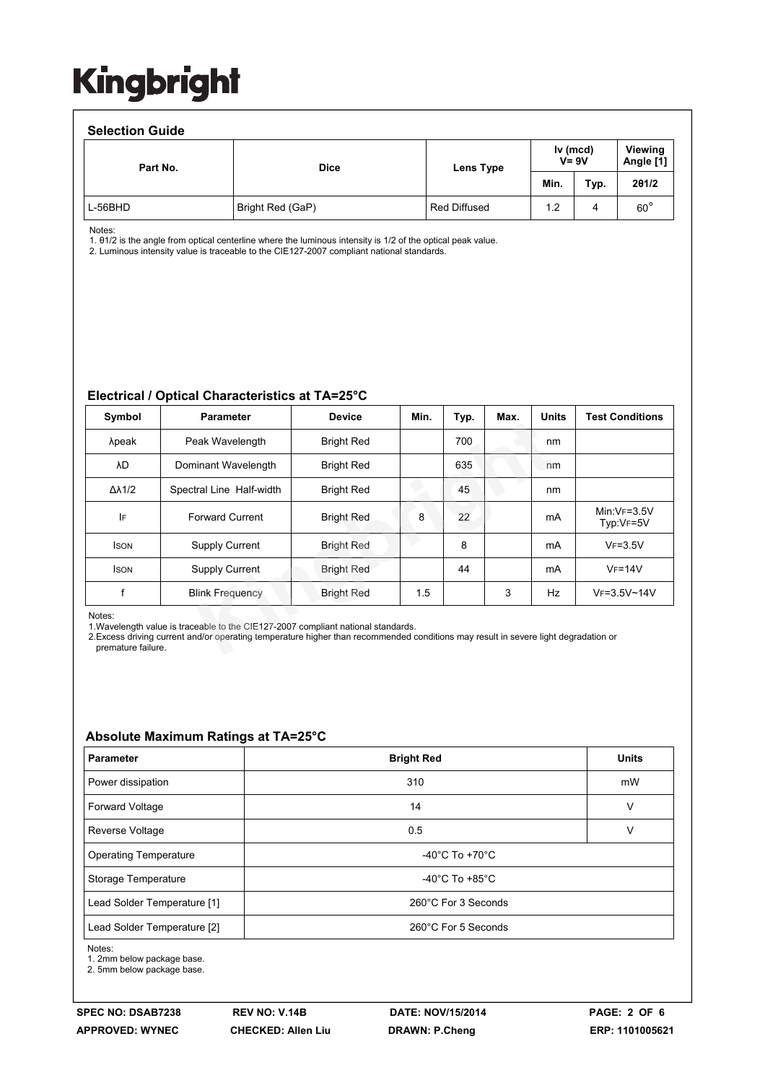#### **Selection Guide** Part No. **Dice Dice Lens Type**

Notes:

1. θ1/2 is the angle from optical centerline where the luminous intensity is 1/2 of the optical peak value.

2. Luminous intensity value is traceable to the CIE127-2007 compliant national standards.

#### **Electrical / Optical Characteristics at TA=25°C**

| Symbol                       | <b>Parameter</b>                                                                                                                                                                                                         | <b>Device</b>     | Min. | Typ. | Max. | <b>Units</b> | <b>Test Conditions</b>     |
|------------------------------|--------------------------------------------------------------------------------------------------------------------------------------------------------------------------------------------------------------------------|-------------------|------|------|------|--------------|----------------------------|
| λpeak                        | Peak Wavelength                                                                                                                                                                                                          | <b>Bright Red</b> |      | 700  |      | nm           |                            |
| λD                           | Dominant Wavelength                                                                                                                                                                                                      | <b>Bright Red</b> |      | 635  |      | nm           |                            |
| $\Delta\lambda$ 1/2          | Spectral Line Half-width                                                                                                                                                                                                 | <b>Bright Red</b> |      | 45   |      | nm           |                            |
| IF                           | <b>Forward Current</b>                                                                                                                                                                                                   | <b>Bright Red</b> | 8    | 22   |      | mA           | $Min:VF=3.5V$<br>Typ:VF=5V |
| <b>ISON</b>                  | <b>Supply Current</b>                                                                                                                                                                                                    | <b>Bright Red</b> |      | 8    |      | mA           | $VF=3.5V$                  |
| <b>ISON</b>                  | <b>Supply Current</b>                                                                                                                                                                                                    | <b>Bright Red</b> |      | 44   |      | mA           | $V_F = 14V$                |
| f                            | <b>Blink Frequency</b>                                                                                                                                                                                                   | <b>Bright Red</b> | 1.5  |      | 3    | Hz           | VF=3.5V~14V                |
| Notes:<br>premature failure. | 1. Wavelength value is traceable to the CIE127-2007 compliant national standards.<br>2. Excess driving current and/or operating temperature higher than recommended conditions may result in severe light degradation or |                   |      |      |      |              |                            |

L-56BHD Bright Red (GaP) Red Diffused 1.2 4 60°

#### **Absolute Maximum Ratings at TA=25°C**

| <b>Parameter</b>             | <b>Bright Red</b>                    | <b>Units</b> |  |  |  |
|------------------------------|--------------------------------------|--------------|--|--|--|
| Power dissipation            | 310                                  | mW           |  |  |  |
| Forward Voltage              | 14                                   | v            |  |  |  |
| Reverse Voltage              | 0.5                                  |              |  |  |  |
| <b>Operating Temperature</b> | -40 $^{\circ}$ C To +70 $^{\circ}$ C |              |  |  |  |
| Storage Temperature          | $-40^{\circ}$ C To $+85^{\circ}$ C   |              |  |  |  |
| Lead Solder Temperature [1]  | 260°C For 3 Seconds                  |              |  |  |  |
| Lead Solder Temperature [2]  | 260°C For 5 Seconds                  |              |  |  |  |

Notes:

1. 2mm below package base.

2. 5mm below package base.

**Viewing Angle [1]**

**Min. Typ. 2θ1/2**

**Iv (mcd) V= 9V**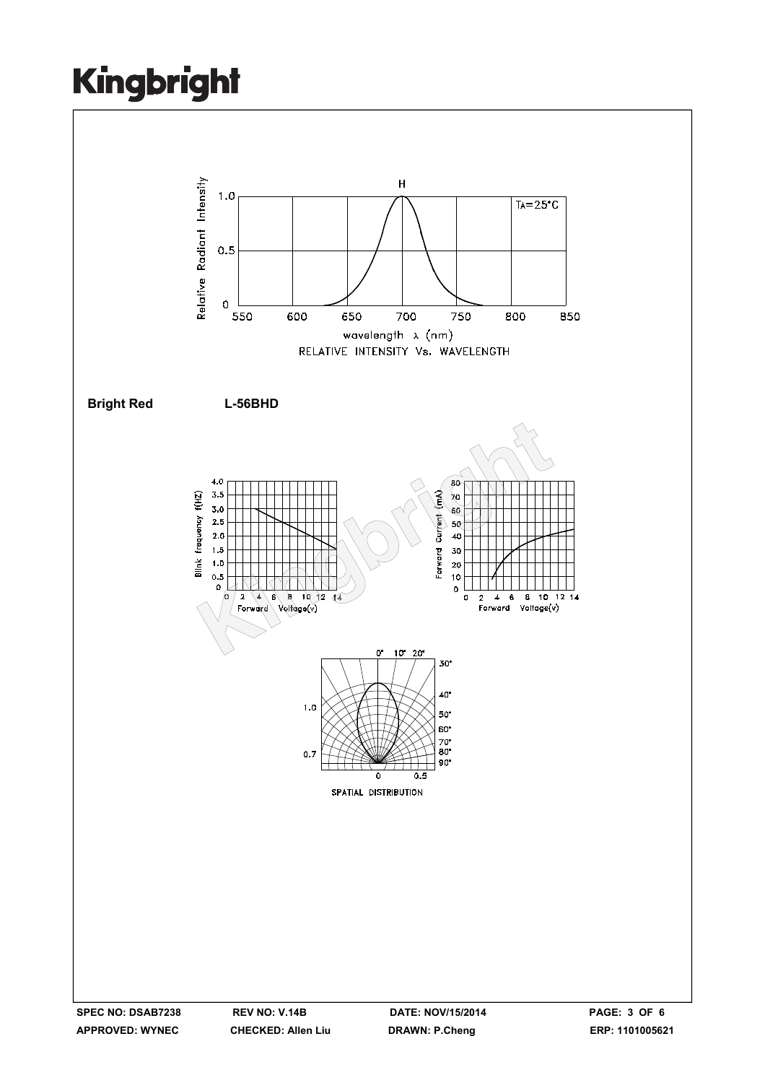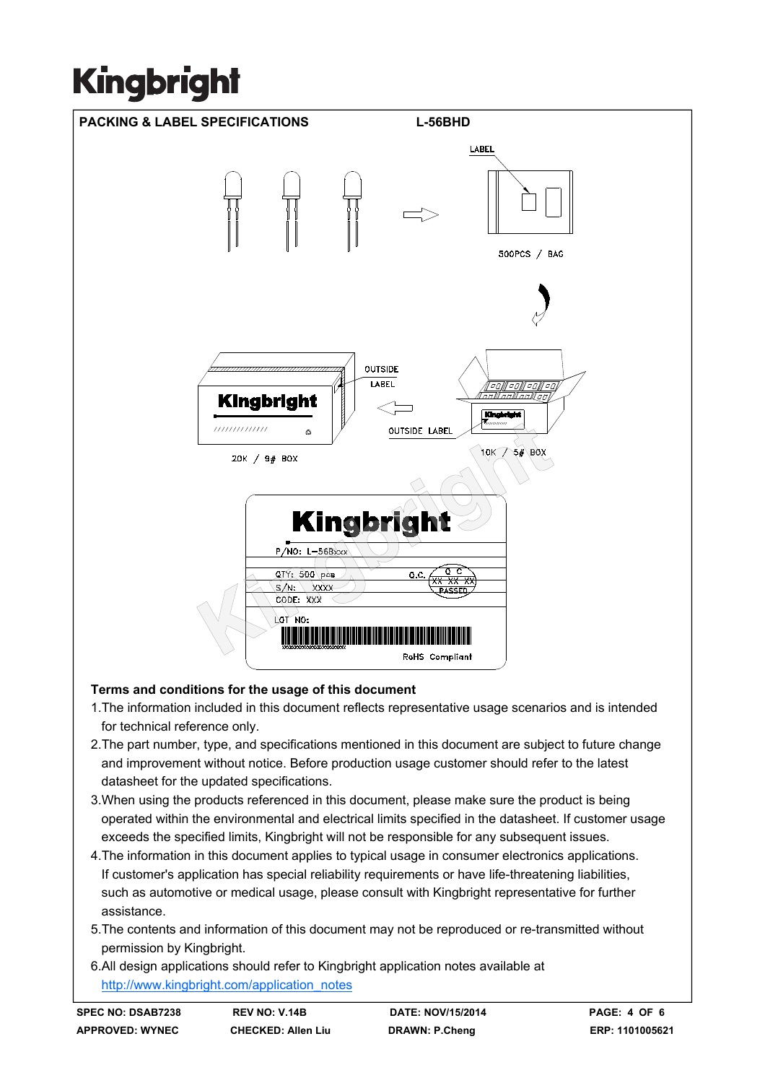

#### **Terms and conditions for the usage of this document**

- 1.The information included in this document reflects representative usage scenarios and is intended for technical reference only.
- 2.The part number, type, and specifications mentioned in this document are subject to future change and improvement without notice. Before production usage customer should refer to the latest datasheet for the updated specifications.
- 3.When using the products referenced in this document, please make sure the product is being operated within the environmental and electrical limits specified in the datasheet. If customer usage exceeds the specified limits, Kingbright will not be responsible for any subsequent issues.
- 4.The information in this document applies to typical usage in consumer electronics applications. If customer's application has special reliability requirements or have life-threatening liabilities, such as automotive or medical usage, please consult with Kingbright representative for further assistance.
- 5.The contents and information of this document may not be reproduced or re-transmitted without permission by Kingbright.
- 6.All design applications should refer to Kingbright application notes available at http://www.kingbright.com/application\_notes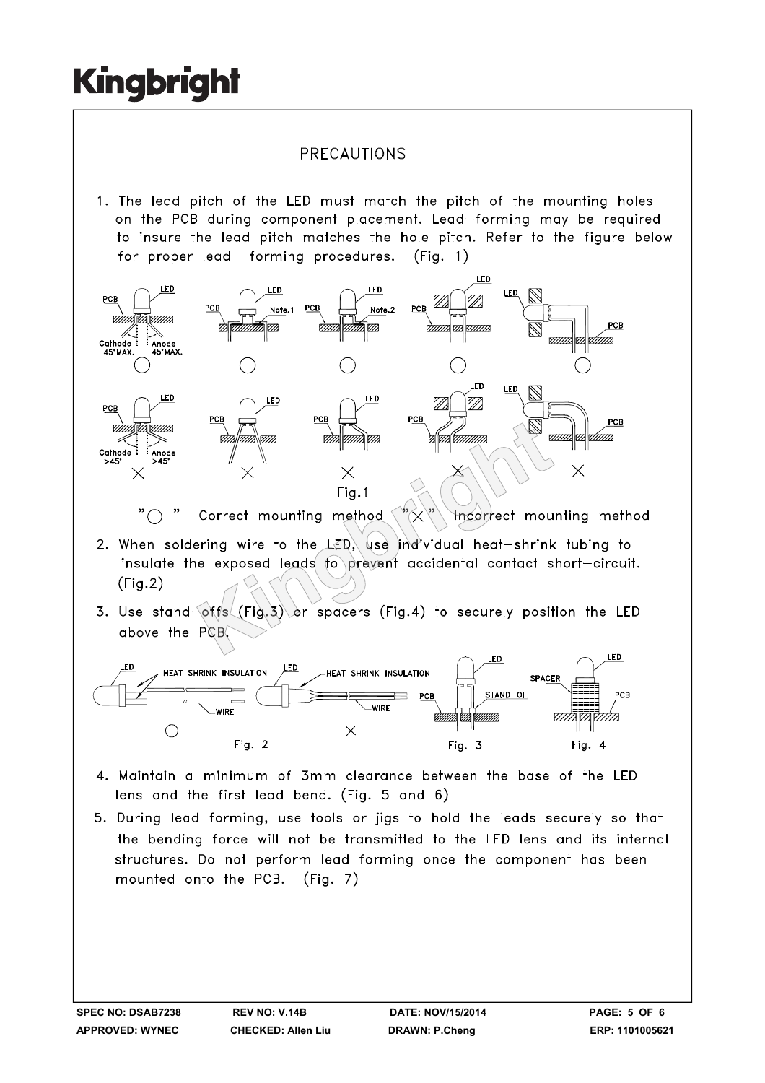#### PRECAUTIONS

1. The lead pitch of the LED must match the pitch of the mounting holes on the PCB during component placement. Lead-forming may be required to insure the lead pitch matches the hole pitch. Refer to the figure below for proper lead forming procedures.  $(Fiq. 1)$ 



- $(Fig.2)$
- 



- 4. Maintain a minimum of 3mm clearance between the base of the LED lens and the first lead bend. (Fig. 5 and 6)
- 5. During lead forming, use tools or jigs to hold the leads securely so that the bending force will not be transmitted to the LED lens and its internal structures. Do not perform lead forming once the component has been mounted onto the PCB. (Fig. 7)